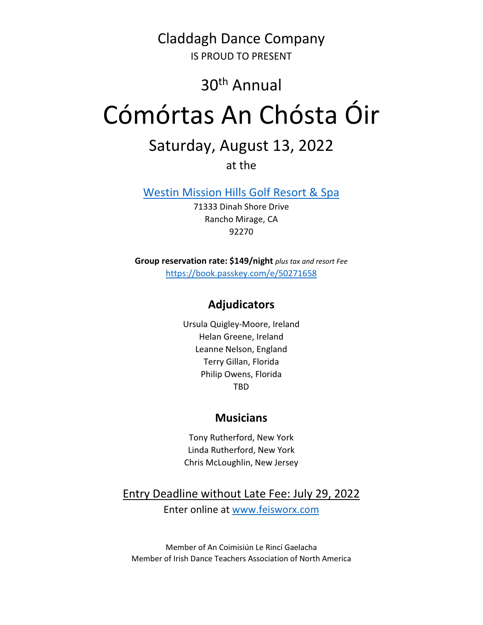Claddagh Dance Company IS PROUD TO PRESENT

## 30th Annual

# Cómórtas An Chósta Óir

# Saturday, August 13, 2022

at the

Westin Mission Hills Golf Resort & Spa

71333 Dinah Shore Drive Rancho Mirage, CA 92270

Group reservation rate: \$149/night plus tax and resort Fee https://book.passkey.com/e/50271658

### Adjudicators

Ursula Quigley-Moore, Ireland Helan Greene, Ireland Leanne Nelson, England Terry Gillan, Florida Philip Owens, Florida TBD

#### **Musicians**

Tony Rutherford, New York Linda Rutherford, New York Chris McLoughlin, New Jersey

Entry Deadline without Late Fee: July 29, 2022 Enter online at www.feisworx.com

Member of An Coimisiún Le Rincí Gaelacha Member of Irish Dance Teachers Association of North America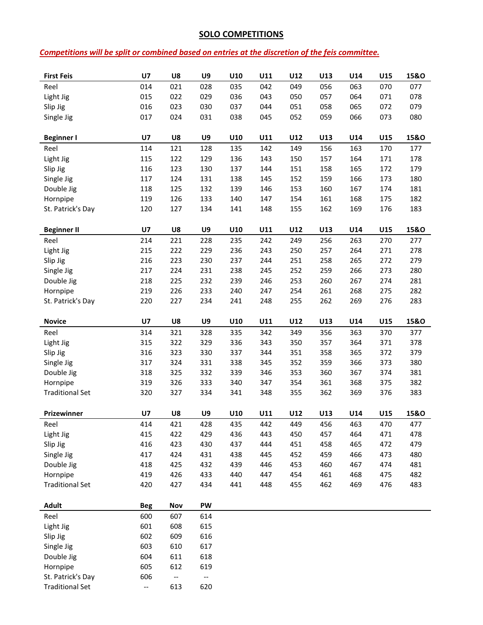#### SOLO COMPETITIONS

#### Competitions will be split or combined based on entries at the discretion of the feis committee.

| <b>First Feis</b>      | U <sub>7</sub> | U8                       | U9                       | U10        | U11 | U12 | U13 | U14        | U15        | 15&0            |
|------------------------|----------------|--------------------------|--------------------------|------------|-----|-----|-----|------------|------------|-----------------|
| Reel                   | 014            | 021                      | 028                      | 035        | 042 | 049 | 056 | 063        | 070        | 077             |
| Light Jig              | 015            | 022                      | 029                      | 036        | 043 | 050 | 057 | 064        | 071        | 078             |
| Slip Jig               | 016            | 023                      | 030                      | 037        | 044 | 051 | 058 | 065        | 072        | 079             |
| Single Jig             | 017            | 024                      | 031                      | 038        | 045 | 052 | 059 | 066        | 073        | 080             |
|                        |                |                          |                          |            |     |     |     |            |            |                 |
| <b>Beginner I</b>      | U7             | U8                       | U9                       | U10        | U11 | U12 | U13 | U14        | U15        | 15&O            |
| Reel                   | 114            | 121                      | 128                      | 135        | 142 | 149 | 156 | 163        | 170        | 177             |
| Light Jig              | 115            | 122                      | 129                      | 136        | 143 | 150 | 157 | 164        | 171        | 178             |
| Slip Jig               | 116            | 123                      | 130                      | 137        | 144 | 151 | 158 | 165        | 172        | 179             |
| Single Jig             | 117            | 124                      | 131                      | 138        | 145 | 152 | 159 | 166        | 173        | 180             |
| Double Jig             | 118            | 125                      | 132                      | 139        | 146 | 153 | 160 | 167        | 174        | 181             |
| Hornpipe               | 119            | 126                      | 133                      | 140        | 147 | 154 | 161 | 168        | 175        | 182             |
| St. Patrick's Day      | 120            | 127                      | 134                      | 141        | 148 | 155 | 162 | 169        | 176        | 183             |
|                        |                |                          |                          |            |     |     |     |            |            |                 |
| <b>Beginner II</b>     | U <sub>7</sub> | U8                       | U9                       | U10        | U11 | U12 | U13 | U14        | U15        | 15&0            |
| Reel                   | 214            | 221                      | 228                      | 235        | 242 | 249 | 256 | 263        | 270        | 277             |
| Light Jig              | 215            | 222                      | 229                      | 236        | 243 | 250 | 257 | 264        | 271        | 278             |
| Slip Jig               | 216            | 223                      | 230                      | 237        | 244 | 251 | 258 | 265        | 272        | 279             |
| Single Jig             | 217            | 224                      | 231                      | 238        | 245 | 252 | 259 | 266        | 273        | 280             |
| Double Jig             | 218            | 225                      | 232                      | 239        | 246 | 253 | 260 | 267        | 274        | 281             |
| Hornpipe               | 219            | 226                      | 233                      | 240        | 247 | 254 | 261 | 268        | 275        | 282             |
| St. Patrick's Day      | 220            | 227                      | 234                      | 241        | 248 | 255 | 262 | 269        | 276        | 283             |
|                        |                |                          |                          |            |     |     |     |            |            |                 |
| <b>Novice</b>          | U7             | U8                       | U9                       | U10        | U11 | U12 | U13 | U14        | U15        | <b>15&amp;O</b> |
| Reel                   | 314            | 321                      | 328                      | 335        | 342 | 349 | 356 | 363        | 370        | 377             |
| Light Jig              | 315            | 322                      | 329                      | 336        | 343 | 350 | 357 | 364        | 371        | 378             |
| Slip Jig               | 316            | 323                      | 330                      | 337        | 344 | 351 | 358 | 365        | 372        | 379             |
| Single Jig             | 317            | 324                      | 331                      | 338        | 345 | 352 | 359 | 366        | 373        | 380             |
| Double Jig             | 318            | 325                      | 332                      | 339        | 346 | 353 | 360 | 367        | 374        | 381             |
| Hornpipe               | 319            | 326                      | 333                      | 340        | 347 | 354 | 361 | 368        | 375        | 382             |
| <b>Traditional Set</b> | 320            | 327                      | 334                      | 341        | 348 | 355 | 362 | 369        | 376        | 383             |
| Prizewinner            | U <sub>7</sub> | U8                       | U9                       | U10        | U11 | U12 | U13 | U14        | U15        | <b>15&amp;O</b> |
|                        | 414            | 421                      | 428                      |            | 442 | 449 | 456 |            |            | 477             |
| Reel<br>Light Jig      | 415            | 422                      | 429                      | 435<br>436 | 443 | 450 | 457 | 463<br>464 | 470<br>471 | 478             |
| Slip Jig               | 416            | 423                      | 430                      | 437        | 444 | 451 | 458 | 465        | 472        | 479             |
| Single Jig             | 417            | 424                      | 431                      | 438        | 445 | 452 | 459 | 466        | 473        | 480             |
| Double Jig             | 418            | 425                      | 432                      | 439        | 446 | 453 | 460 | 467        | 474        | 481             |
| Hornpipe               | 419            | 426                      | 433                      | 440        | 447 | 454 | 461 | 468        | 475        | 482             |
| <b>Traditional Set</b> | 420            | 427                      | 434                      | 441        | 448 | 455 | 462 | 469        | 476        | 483             |
|                        |                |                          |                          |            |     |     |     |            |            |                 |
| <b>Adult</b>           | <b>Beg</b>     | Nov                      | <b>PW</b>                |            |     |     |     |            |            |                 |
| Reel                   | 600            | 607                      | 614                      |            |     |     |     |            |            |                 |
| Light Jig              | 601            | 608                      | 615                      |            |     |     |     |            |            |                 |
| Slip Jig               | 602            | 609                      | 616                      |            |     |     |     |            |            |                 |
| Single Jig             | 603            | 610                      | 617                      |            |     |     |     |            |            |                 |
| Double Jig             | 604            | 611                      | 618                      |            |     |     |     |            |            |                 |
| Hornpipe               | 605            | 612                      | 619                      |            |     |     |     |            |            |                 |
| St. Patrick's Day      | 606            | $\overline{\phantom{a}}$ | $\overline{\phantom{a}}$ |            |     |     |     |            |            |                 |
| <b>Traditional Set</b> | --             | 613                      | 620                      |            |     |     |     |            |            |                 |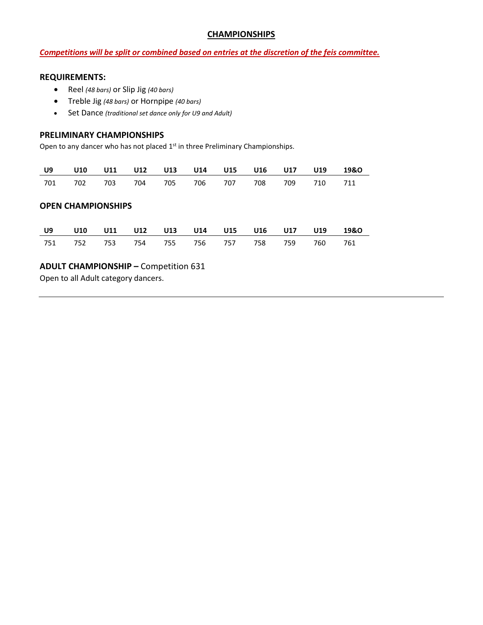#### **CHAMPIONSHIPS**

#### Competitions will be split or combined based on entries at the discretion of the feis committee.

#### REQUIREMENTS:

- Reel (48 bars) or Slip Jig (40 bars)
- Treble Jig (48 bars) or Hornpipe (40 bars)
- Set Dance (traditional set dance only for U9 and Adult)

#### PRELIMINARY CHAMPIONSHIPS

Open to any dancer who has not placed 1<sup>st</sup> in three Preliminary Championships.

|  |  |  |                                             |  | U9 U10 U11 U12 U13 U14 U15 U16 U17 U19 19&O |
|--|--|--|---------------------------------------------|--|---------------------------------------------|
|  |  |  | 701 702 703 704 705 706 707 708 709 710 711 |  |                                             |

#### OPEN CHAMPIONSHIPS

|  |  |  |  | U9 U10 U11 U12 U13 U14 U15 U16 U17 U19 19&O |  |
|--|--|--|--|---------------------------------------------|--|
|  |  |  |  | 751 752 753 754 755 756 757 758 759 760 761 |  |

#### ADULT CHAMPIONSHIP – Competition 631

Open to all Adult category dancers.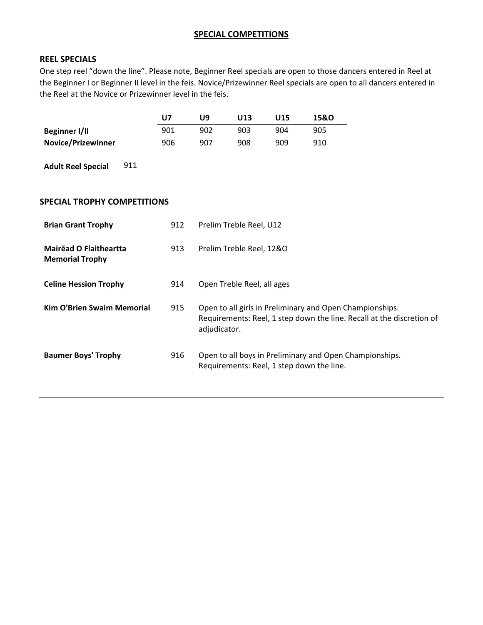#### SPECIAL COMPETITIONS

#### REEL SPECIALS

One step reel "down the line". Please note, Beginner Reel specials are open to those dancers entered in Reel at the Beginner I or Beginner II level in the feis. Novice/Prizewinner Reel specials are open to all dancers entered in the Reel at the Novice or Prizewinner level in the feis.

|                           | U7  | وں. | U13 | U15 | 15&0 |
|---------------------------|-----|-----|-----|-----|------|
| Beginner I/II             | 901 | 902 | 903 | 904 | 905  |
| <b>Novice/Prizewinner</b> | 906 | 907 | 908 | 909 | 910  |

Adult Reel Special 911

#### SPECIAL TROPHY COMPETITIONS

| <b>Brian Grant Trophy</b>                        | 912 | Prelim Treble Reel, U12                                                                                                                           |
|--------------------------------------------------|-----|---------------------------------------------------------------------------------------------------------------------------------------------------|
| Mairead O Flaitheartta<br><b>Memorial Trophy</b> | 913 | Prelim Treble Reel, 12&O                                                                                                                          |
| <b>Celine Hession Trophy</b>                     | 914 | Open Treble Reel, all ages                                                                                                                        |
| <b>Kim O'Brien Swaim Memorial</b>                | 915 | Open to all girls in Preliminary and Open Championships.<br>Requirements: Reel, 1 step down the line. Recall at the discretion of<br>adjudicator. |
| <b>Baumer Boys' Trophy</b>                       | 916 | Open to all boys in Preliminary and Open Championships.<br>Requirements: Reel, 1 step down the line.                                              |